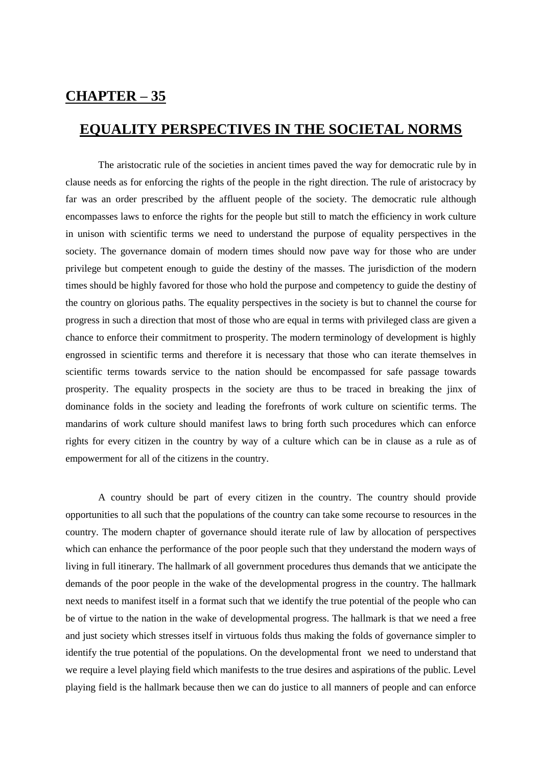## **CHAPTER – 35**

## **EQUALITY PERSPECTIVES IN THE SOCIETAL NORMS**

The aristocratic rule of the societies in ancient times paved the way for democratic rule by in clause needs as for enforcing the rights of the people in the right direction. The rule of aristocracy by far was an order prescribed by the affluent people of the society. The democratic rule although encompasses laws to enforce the rights for the people but still to match the efficiency in work culture in unison with scientific terms we need to understand the purpose of equality perspectives in the society. The governance domain of modern times should now pave way for those who are under privilege but competent enough to guide the destiny of the masses. The jurisdiction of the modern times should be highly favored for those who hold the purpose and competency to guide the destiny of the country on glorious paths. The equality perspectives in the society is but to channel the course for progress in such a direction that most of those who are equal in terms with privileged class are given a chance to enforce their commitment to prosperity. The modern terminology of development is highly engrossed in scientific terms and therefore it is necessary that those who can iterate themselves in scientific terms towards service to the nation should be encompassed for safe passage towards prosperity. The equality prospects in the society are thus to be traced in breaking the jinx of dominance folds in the society and leading the forefronts of work culture on scientific terms. The mandarins of work culture should manifest laws to bring forth such procedures which can enforce rights for every citizen in the country by way of a culture which can be in clause as a rule as of empowerment for all of the citizens in the country.

A country should be part of every citizen in the country. The country should provide opportunities to all such that the populations of the country can take some recourse to resources in the country. The modern chapter of governance should iterate rule of law by allocation of perspectives which can enhance the performance of the poor people such that they understand the modern ways of living in full itinerary. The hallmark of all government procedures thus demands that we anticipate the demands of the poor people in the wake of the developmental progress in the country. The hallmark next needs to manifest itself in a format such that we identify the true potential of the people who can be of virtue to the nation in the wake of developmental progress. The hallmark is that we need a free and just society which stresses itself in virtuous folds thus making the folds of governance simpler to identify the true potential of the populations. On the developmental front we need to understand that we require a level playing field which manifests to the true desires and aspirations of the public. Level playing field is the hallmark because then we can do justice to all manners of people and can enforce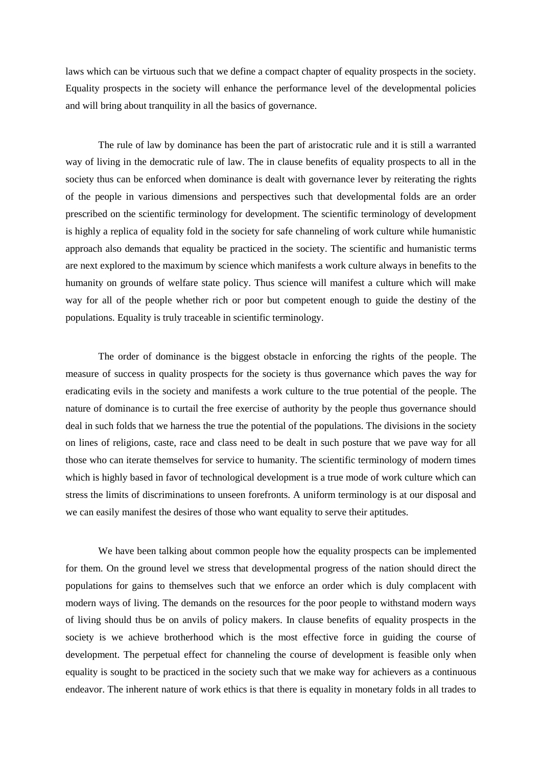laws which can be virtuous such that we define a compact chapter of equality prospects in the society. Equality prospects in the society will enhance the performance level of the developmental policies and will bring about tranquility in all the basics of governance.

The rule of law by dominance has been the part of aristocratic rule and it is still a warranted way of living in the democratic rule of law. The in clause benefits of equality prospects to all in the society thus can be enforced when dominance is dealt with governance lever by reiterating the rights of the people in various dimensions and perspectives such that developmental folds are an order prescribed on the scientific terminology for development. The scientific terminology of development is highly a replica of equality fold in the society for safe channeling of work culture while humanistic approach also demands that equality be practiced in the society. The scientific and humanistic terms are next explored to the maximum by science which manifests a work culture always in benefits to the humanity on grounds of welfare state policy. Thus science will manifest a culture which will make way for all of the people whether rich or poor but competent enough to guide the destiny of the populations. Equality is truly traceable in scientific terminology.

The order of dominance is the biggest obstacle in enforcing the rights of the people. The measure of success in quality prospects for the society is thus governance which paves the way for eradicating evils in the society and manifests a work culture to the true potential of the people. The nature of dominance is to curtail the free exercise of authority by the people thus governance should deal in such folds that we harness the true the potential of the populations. The divisions in the society on lines of religions, caste, race and class need to be dealt in such posture that we pave way for all those who can iterate themselves for service to humanity. The scientific terminology of modern times which is highly based in favor of technological development is a true mode of work culture which can stress the limits of discriminations to unseen forefronts. A uniform terminology is at our disposal and we can easily manifest the desires of those who want equality to serve their aptitudes.

We have been talking about common people how the equality prospects can be implemented for them. On the ground level we stress that developmental progress of the nation should direct the populations for gains to themselves such that we enforce an order which is duly complacent with modern ways of living. The demands on the resources for the poor people to withstand modern ways of living should thus be on anvils of policy makers. In clause benefits of equality prospects in the society is we achieve brotherhood which is the most effective force in guiding the course of development. The perpetual effect for channeling the course of development is feasible only when equality is sought to be practiced in the society such that we make way for achievers as a continuous endeavor. The inherent nature of work ethics is that there is equality in monetary folds in all trades to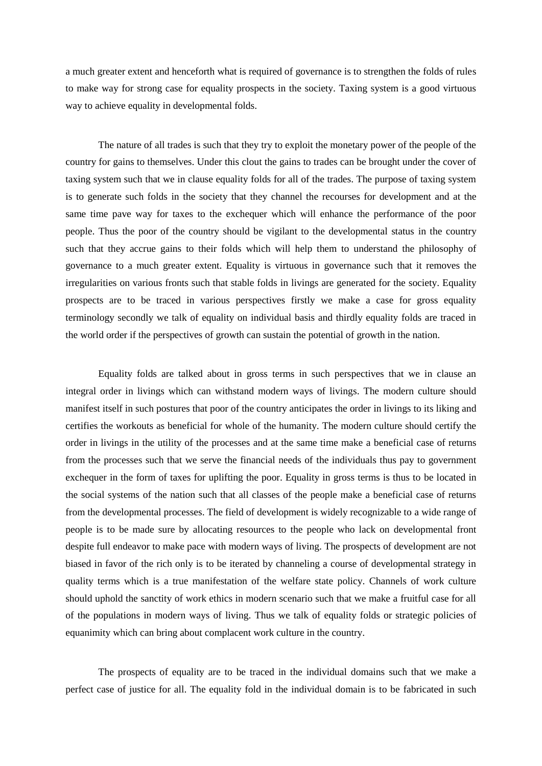a much greater extent and henceforth what is required of governance is to strengthen the folds of rules to make way for strong case for equality prospects in the society. Taxing system is a good virtuous way to achieve equality in developmental folds.

The nature of all trades is such that they try to exploit the monetary power of the people of the country for gains to themselves. Under this clout the gains to trades can be brought under the cover of taxing system such that we in clause equality folds for all of the trades. The purpose of taxing system is to generate such folds in the society that they channel the recourses for development and at the same time pave way for taxes to the exchequer which will enhance the performance of the poor people. Thus the poor of the country should be vigilant to the developmental status in the country such that they accrue gains to their folds which will help them to understand the philosophy of governance to a much greater extent. Equality is virtuous in governance such that it removes the irregularities on various fronts such that stable folds in livings are generated for the society. Equality prospects are to be traced in various perspectives firstly we make a case for gross equality terminology secondly we talk of equality on individual basis and thirdly equality folds are traced in the world order if the perspectives of growth can sustain the potential of growth in the nation.

Equality folds are talked about in gross terms in such perspectives that we in clause an integral order in livings which can withstand modern ways of livings. The modern culture should manifest itself in such postures that poor of the country anticipates the order in livings to its liking and certifies the workouts as beneficial for whole of the humanity. The modern culture should certify the order in livings in the utility of the processes and at the same time make a beneficial case of returns from the processes such that we serve the financial needs of the individuals thus pay to government exchequer in the form of taxes for uplifting the poor. Equality in gross terms is thus to be located in the social systems of the nation such that all classes of the people make a beneficial case of returns from the developmental processes. The field of development is widely recognizable to a wide range of people is to be made sure by allocating resources to the people who lack on developmental front despite full endeavor to make pace with modern ways of living. The prospects of development are not biased in favor of the rich only is to be iterated by channeling a course of developmental strategy in quality terms which is a true manifestation of the welfare state policy. Channels of work culture should uphold the sanctity of work ethics in modern scenario such that we make a fruitful case for all of the populations in modern ways of living. Thus we talk of equality folds or strategic policies of equanimity which can bring about complacent work culture in the country.

The prospects of equality are to be traced in the individual domains such that we make a perfect case of justice for all. The equality fold in the individual domain is to be fabricated in such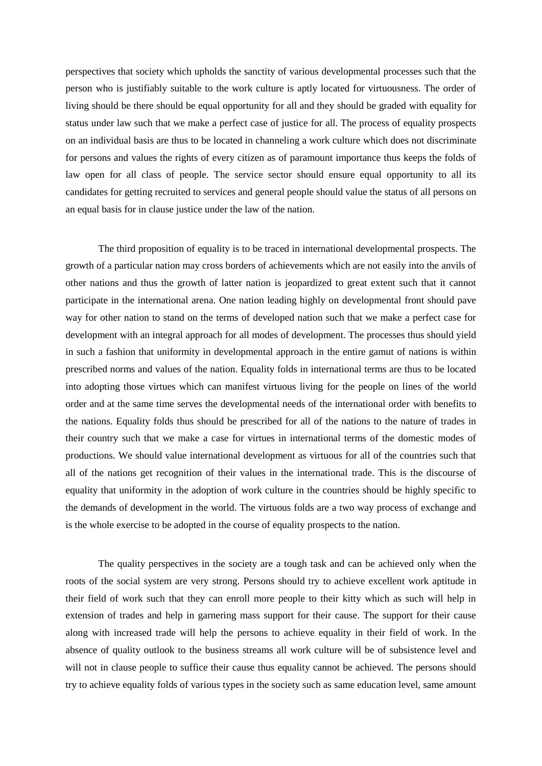perspectives that society which upholds the sanctity of various developmental processes such that the person who is justifiably suitable to the work culture is aptly located for virtuousness. The order of living should be there should be equal opportunity for all and they should be graded with equality for status under law such that we make a perfect case of justice for all. The process of equality prospects on an individual basis are thus to be located in channeling a work culture which does not discriminate for persons and values the rights of every citizen as of paramount importance thus keeps the folds of law open for all class of people. The service sector should ensure equal opportunity to all its candidates for getting recruited to services and general people should value the status of all persons on an equal basis for in clause justice under the law of the nation.

The third proposition of equality is to be traced in international developmental prospects. The growth of a particular nation may cross borders of achievements which are not easily into the anvils of other nations and thus the growth of latter nation is jeopardized to great extent such that it cannot participate in the international arena. One nation leading highly on developmental front should pave way for other nation to stand on the terms of developed nation such that we make a perfect case for development with an integral approach for all modes of development. The processes thus should yield in such a fashion that uniformity in developmental approach in the entire gamut of nations is within prescribed norms and values of the nation. Equality folds in international terms are thus to be located into adopting those virtues which can manifest virtuous living for the people on lines of the world order and at the same time serves the developmental needs of the international order with benefits to the nations. Equality folds thus should be prescribed for all of the nations to the nature of trades in their country such that we make a case for virtues in international terms of the domestic modes of productions. We should value international development as virtuous for all of the countries such that all of the nations get recognition of their values in the international trade. This is the discourse of equality that uniformity in the adoption of work culture in the countries should be highly specific to the demands of development in the world. The virtuous folds are a two way process of exchange and is the whole exercise to be adopted in the course of equality prospects to the nation.

The quality perspectives in the society are a tough task and can be achieved only when the roots of the social system are very strong. Persons should try to achieve excellent work aptitude in their field of work such that they can enroll more people to their kitty which as such will help in extension of trades and help in garnering mass support for their cause. The support for their cause along with increased trade will help the persons to achieve equality in their field of work. In the absence of quality outlook to the business streams all work culture will be of subsistence level and will not in clause people to suffice their cause thus equality cannot be achieved. The persons should try to achieve equality folds of various types in the society such as same education level, same amount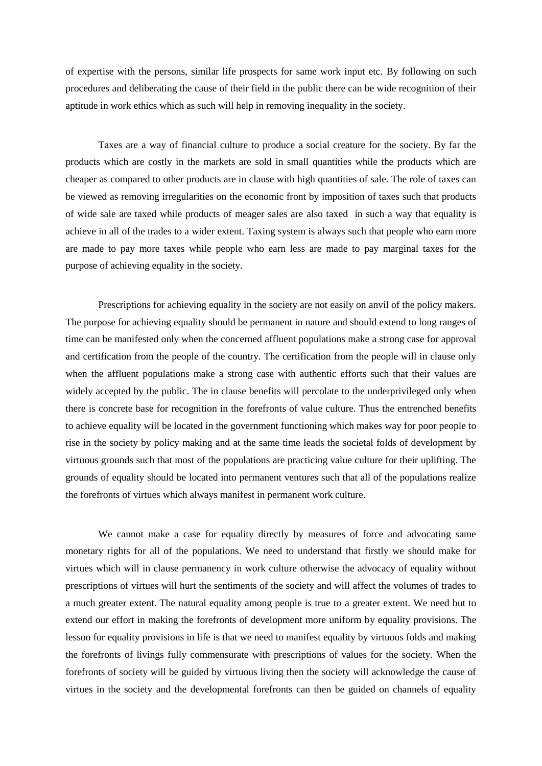of expertise with the persons, similar life prospects for same work input etc. By following on such procedures and deliberating the cause of their field in the public there can be wide recognition of their aptitude in work ethics which as such will help in removing inequality in the society.

Taxes are a way of financial culture to produce a social creature for the society. By far the products which are costly in the markets are sold in small quantities while the products which are cheaper as compared to other products are in clause with high quantities of sale. The role of taxes can be viewed as removing irregularities on the economic front by imposition of taxes such that products of wide sale are taxed while products of meager sales are also taxed in such a way that equality is achieve in all of the trades to a wider extent. Taxing system is always such that people who earn more are made to pay more taxes while people who earn less are made to pay marginal taxes for the purpose of achieving equality in the society.

Prescriptions for achieving equality in the society are not easily on anvil of the policy makers. The purpose for achieving equality should be permanent in nature and should extend to long ranges of time can be manifested only when the concerned affluent populations make a strong case for approval and certification from the people of the country. The certification from the people will in clause only when the affluent populations make a strong case with authentic efforts such that their values are widely accepted by the public. The in clause benefits will percolate to the underprivileged only when there is concrete base for recognition in the forefronts of value culture. Thus the entrenched benefits to achieve equality will be located in the government functioning which makes way for poor people to rise in the society by policy making and at the same time leads the societal folds of development by virtuous grounds such that most of the populations are practicing value culture for their uplifting. The grounds of equality should be located into permanent ventures such that all of the populations realize the forefronts of virtues which always manifest in permanent work culture.

We cannot make a case for equality directly by measures of force and advocating same monetary rights for all of the populations. We need to understand that firstly we should make for virtues which will in clause permanency in work culture otherwise the advocacy of equality without prescriptions of virtues will hurt the sentiments of the society and will affect the volumes of trades to a much greater extent. The natural equality among people is true to a greater extent. We need but to extend our effort in making the forefronts of development more uniform by equality provisions. The lesson for equality provisions in life is that we need to manifest equality by virtuous folds and making the forefronts of livings fully commensurate with prescriptions of values for the society. When the forefronts of society will be guided by virtuous living then the society will acknowledge the cause of virtues in the society and the developmental forefronts can then be guided on channels of equality